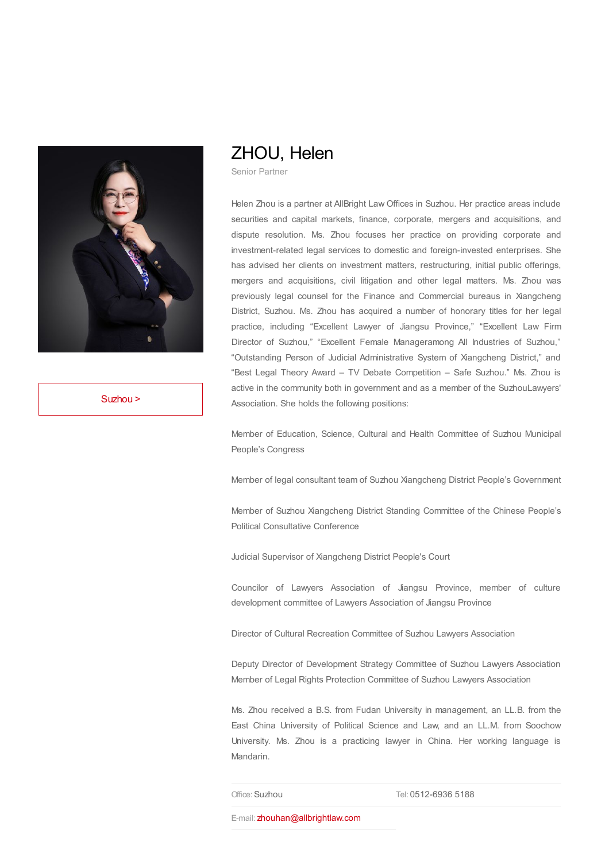

[Suzhou](https://www.allbrightlaw.com/Suzhou/EN/01.aspx) >

## ZHOU, Helen

Senior Partner

Helen Zhou is a partner at AllBright Law Offices in Suzhou. Her practice areas include securities and capital markets, finance, corporate, mergers and acquisitions, and dispute resolution. Ms. Zhou focuses her practice on providing corporate and investment-related legal services to domestic and foreign-invested enterprises. She has advised her clients on investment matters, restructuring, initial public offerings, mergers and acquisitions, civil litigation and other legal matters. Ms. Zhou was previously legal counsel for the Finance and Commercial bureaus in Xiangcheng District, Suzhou. Ms. Zhou has acquired a number of honorary titles for her legal practice, including "Excellent Lawyer of Jiangsu Province," "Excellent Law Firm Director of Suzhou," "Excellent Female Manageramong All Industries of Suzhou," "Outstanding Person of Judicial Administrative System of Xiangcheng District," and "Best Legal Theory Award – TV Debate Competition – Safe Suzhou." Ms. Zhou is active in the community both in government and as a member of the SuzhouLawyers' Association. She holds the following positions:

Member of Education, Science, Cultural and Health Committee of Suzhou Municipal People's Congress

Member of legal consultant team of Suzhou Xiangcheng District People's Government

Member of Suzhou Xiangcheng District Standing Committee of the Chinese People's Political Consultative Conference

Judicial Supervisor of Xiangcheng District People's Court

Councilor of Lawyers Association of Jiangsu Province, member of culture development committee of Lawyers Association of Jiangsu Province

Director of Cultural Recreation Committee of Suzhou Lawyers Association

Deputy Director of Development Strategy Committee of Suzhou Lawyers Association Member of Legal Rights Protection Committee of Suzhou Lawyers Association

Ms. Zhou received a B.S. from Fudan University in management, an LL.B. from the East China University of Political Science and Law, and an LL.M. from Soochow University. Ms. Zhou is a practicing lawyer in China. Her working language is Mandarin.

Office:Suzhou Tel: 0512-6936 5188

E-mail: [zhouhan@allbrightlaw.com](mailto:zhouhan@allbrightlaw.com)